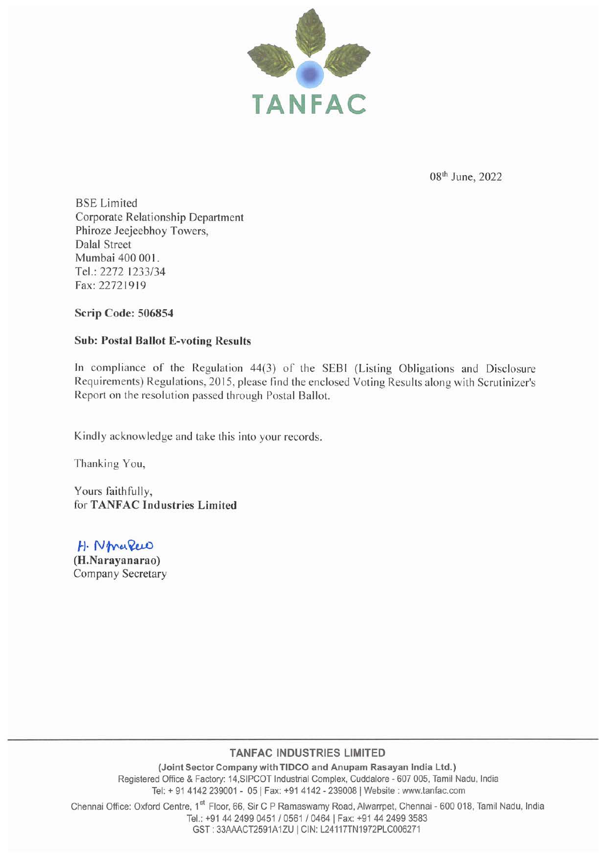

08<sup>th</sup> June, 2022

BSE Limited Corporate Relationship Department Phiroze Jeejeebhoy Towers, Dalal Street Mumbai 400 001. Tel.: 2272 1233/34 Fax:22721919

Scrip Code: 506854

## Sub: Postal Ballot E-voting Results

In compliance of the Regulation 44(3) of the SEBI (Listing Obligations and Disclosure Requirements) Regulations, 2015, please find the enclosed Voting Results along with Scrutinizer's Report on the resolution passed through Postal Ballot.

Kindly acknowledge and take this into your records.

Thanking You,

Yours faithfully, for TANFAC Industries Limited

H. NmaRew (H.Narayanarao) Company Secretary

## **TANFAC INDUSTRIES LIMITED**

(Joint Sector Company with TIDCO and Anupam Rasayan India Ltd.) Registered Office & Factory: 14,SIPCOT Industrial Complex, Cuddalore - 607 005, Tamil Nadu, India Tel: + 91 4142 239001 - 05 | Fax: +91 4142 - 239008 | Website: www.tanfac.com

Chennai Office: Oxford Centre, 1<sup>st</sup> Floor, 66, Sir C P Ramaswamy Road, Alwarrpet, Chennai - 600 018, Tamil Nadu, India Tel.: +91 44 2499 0451 / 0561 / 0464 | Fax: +91 44 2499 3583 GST : 33AAACT2591A1ZU I CIN: L24117TN1972PLC006271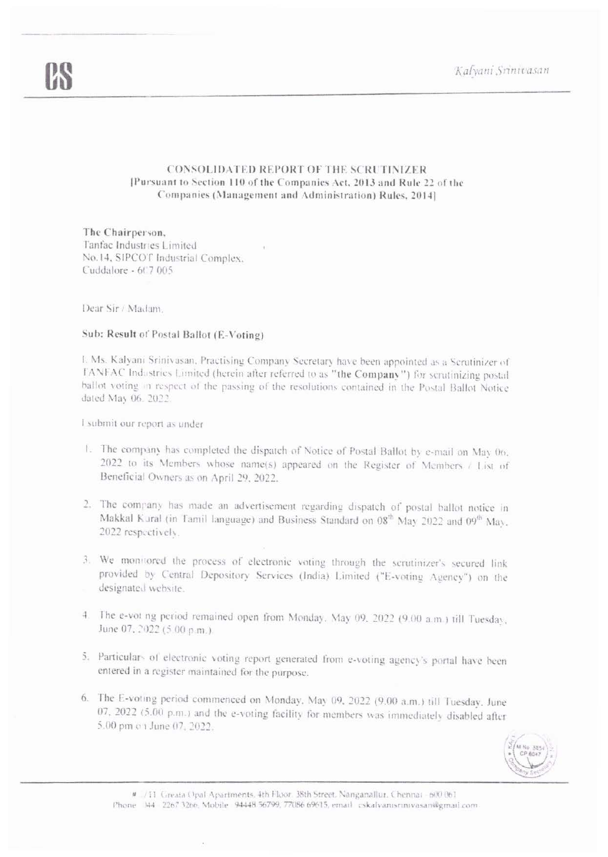Kalyani Srinivasan

## **CONSOLIDATED REPORT OF THE SCRUTINIZER** [Pursuant to Section 110 of the Companies Act, 2013 and Rule 22 of the Companies (Management and Administration) Rules, 2014].

The Chairperson, Tanfac Industries Limited No.14, SIPCOT Industrial Complex. Cuddalore - 607 005

Dear Sir / Madam.

## Sub: Result of Postal Ballot (E-Voting)

I. Ms. Kalyani Srinivasan, Practising Company Secretary have been appointed as a Scrutinizer of TANFAC Industries Limited (herein after referred to as "the Company") for scrutinizing postal ballot voting in respect of the passing of the resolutions contained in the Postal Ballot Notice dated May 06, 2022.

I submit our report as under

- 1. The company has completed the dispatch of Notice of Postal Ballot by e-mail on May 06. 2022 to its Members whose name(s) appeared on the Register of Members / List of Beneficial Owners as on April 29, 2022.
- 2. The company has made an advertisement regarding dispatch of postal ballot notice in Makkal Kural (in Tamil language) and Business Standard on 08<sup>th</sup> May 2022 and 09<sup>th</sup> May, 2022 respectively.
- 3. We monitored the process of electronic voting through the scrutinizer's secured link provided by Central Depository Services (India) Limited ("E-voting Agency") on the designated website.
- 4. The e-vot ng period remained open from Monday, May 09, 2022 (9.00 a.m.) till Tuesday, June 07, 2022 (5.00 p.m.).
- 5. Particulars of electronic voting report generated from e-voting agency's portal have been entered in a register maintained for the purpose.
- 6. The E-voting period commenced on Monday, May 09, 2022 (9.00 a.m.) till Tuesday, June 07, 2022 (5.00 p.m.) and the e-voting facility for members was immediately disabled after 5.00 pm on June 07, 2022.



# /11 Greata Opal Apartments, 4th Floor. 38th Street, Nanganallur, Chennai - 600 061 Phone 344 2267 3266, Mobile 94448 56799, 77086 69615, email: cskalvarusrinivasan@gmail.com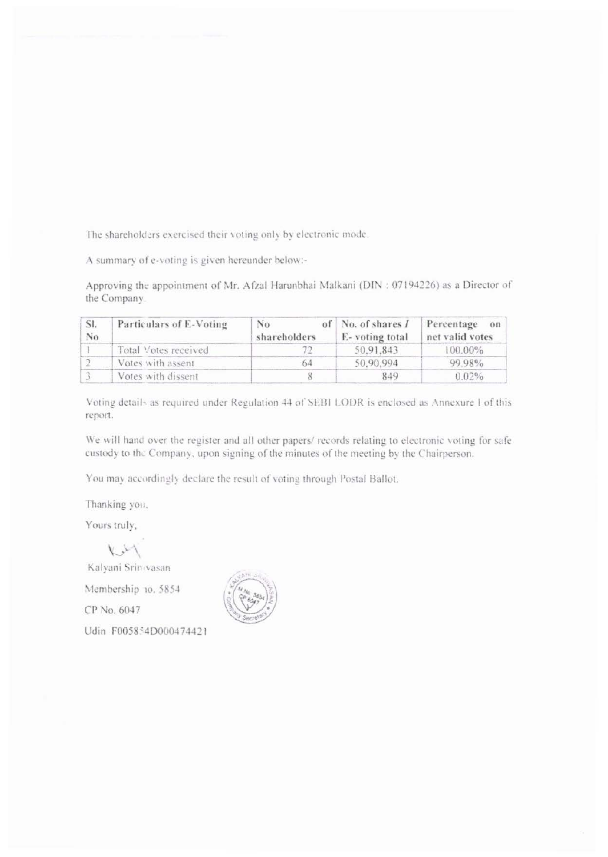The shareholders exercised their voting only by electronic mode.

A summary of e-voting is given hereunder below:-

Approving the appointment of Mr. Afzal Harunbhai Malkani (DIN: 07194226) as a Director of the Company.

| SI.<br>No | Particulars of E-Voting | No<br>shareholders | of No. of shares I<br>E-voting total | Percentage<br>$_{6n}$<br>net valid votes |  |
|-----------|-------------------------|--------------------|--------------------------------------|------------------------------------------|--|
|           | Total Votes received    |                    | 50.91.843                            | $100.00\%$                               |  |
|           | Votes with assent       | 64                 | 50,90,994                            | 99.98%                                   |  |
|           | Votes with dissent      |                    | 849                                  | 0.02%                                    |  |

Voting details as required under Regulation 44 of SEBI LODR is enclosed as Annexure I of this report.

We will hand over the register and all other papers/ records relating to electronic voting for safe custody to the Company, upon signing of the minutes of the meeting by the Chairperson.

You may accordingly declare the result of voting through Postal Ballot.

Thanking you,

Yours truly,

 $\vee$ 

Kalyani Srinovasan

Membership 10, 5854

CP No. 6047

Udin F005854D000474421